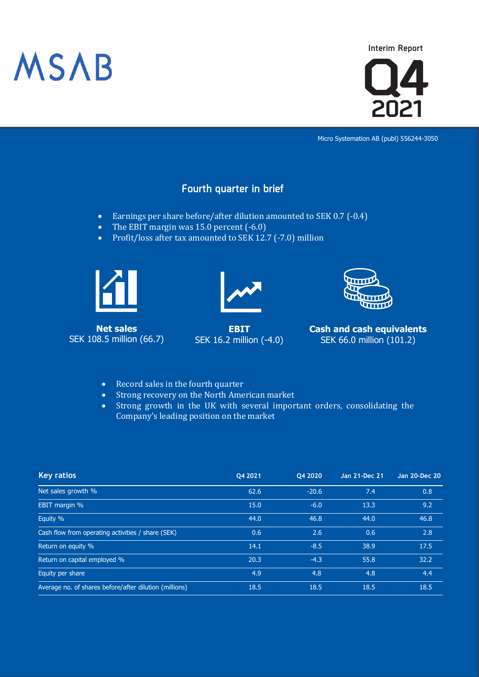

 **Interim Report**



Micro Systemation AB (publ) 556244-3050

## **Fourth quarter in brief**

- Earnings per share before/after dilution amounted to SEK 0.7 (-0.4)
- The EBIT margin was 15.0 percent (-6.0)
- Profit/loss after tax amounted to SEK 12.7 (-7.0) million



**Net sales** SEK 108.5 million (66.7)



**EBIT** SEK 16.2 million (-4.0)



**Cash and cash equivalents** SEK 66.0 million (101.2)

- Record sales in the fourth quarter
- Strong recovery on the North American market
- Strong growth in the UK with several important orders, consolidating the Company's leading position on the market

| <b>Key ratios</b>                                      | Q4 2021 | Q4 2020 | Jan 21-Dec 21 | Jan 20-Dec 20 |
|--------------------------------------------------------|---------|---------|---------------|---------------|
| Net sales growth %                                     | 62.6    | $-20.6$ | 7.4           | 0.8           |
| EBIT margin %                                          | 15.0    | $-6.0$  | 13.3          | 9.2           |
| Equity %                                               | 44.0    | 46.8    | 44.0          | 46.8          |
| Cash flow from operating activities / share (SEK)      | 0.6     | 2.6     | 0.6           | 2.8           |
| Return on equity %                                     | 14.1    | $-8.5$  | 38.9          | 17.5          |
| Return on capital employed %                           | 20.3    | $-4.3$  | 55.8          | 32.2          |
| Equity per share                                       | 4.9     | 4.8     | 4.8           | 4.4           |
| Average no. of shares before/after dilution (millions) | 18.5    | 18.5    | 18.5          | 18.5          |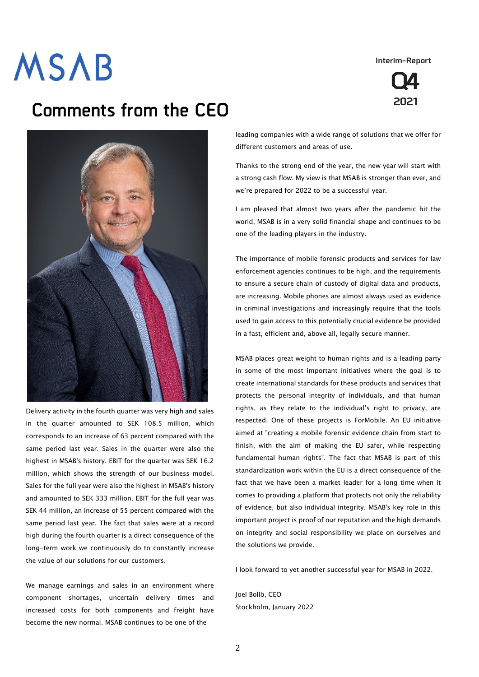**Interim-Report**



## **Comments from the CEO**



Delivery activity in the fourth quarter was very high and sales in the quarter amounted to SEK 108.5 million, which corresponds to an increase of 63 percent compared with the same period last year. Sales in the quarter were also the highest in MSAB's history. EBIT for the quarter was SEK 16.2 million, which shows the strength of our business model. Sales for the full year were also the highest in MSAB's history and amounted to SEK 333 million. EBIT for the full year was SEK 44 million, an increase of 55 percent compared with the same period last year. The fact that sales were at a record high during the fourth quarter is a direct consequence of the long-term work we continuously do to constantly increase the value of our solutions for our customers.

We manage earnings and sales in an environment where component shortages, uncertain delivery times and increased costs for both components and freight have become the new normal. MSAB continues to be one of the

leading companies with a wide range of solutions that we offer for different customers and areas of use.

Thanks to the strong end of the year, the new year will start with a strong cash flow. My view is that MSAB is stronger than ever, and we're prepared for 2022 to be a successful year.

I am pleased that almost two years after the pandemic hit the world, MSAB is in a very solid financial shape and continues to be one of the leading players in the industry.

The importance of mobile forensic products and services for law enforcement agencies continues to be high, and the requirements to ensure a secure chain of custody of digital data and products, are increasing. Mobile phones are almost always used as evidence in criminal investigations and increasingly require that the tools used to gain access to this potentially crucial evidence be provided in a fast, efficient and, above all, legally secure manner.

MSAB places great weight to human rights and is a leading party in some of the most important initiatives where the goal is to create international standards for these products and services that protects the personal integrity of individuals, and that human rights, as they relate to the individual's right to privacy, are respected. One of these projects is ForMobile. An EU initiative aimed at "creating a mobile forensic evidence chain from start to finish, with the aim of making the EU safer, while respecting fundamental human rights". The fact that MSAB is part of this standardization work within the EU is a direct consequence of the fact that we have been a market leader for a long time when it comes to providing a platform that protects not only the reliability of evidence, but also individual integrity. MSAB's key role in this important project is proof of our reputation and the high demands on integrity and social responsibility we place on ourselves and the solutions we provide.

I look forward to yet another successful year for MSAB in 2022.

Joel Bollö, CEO Stockholm, January 2022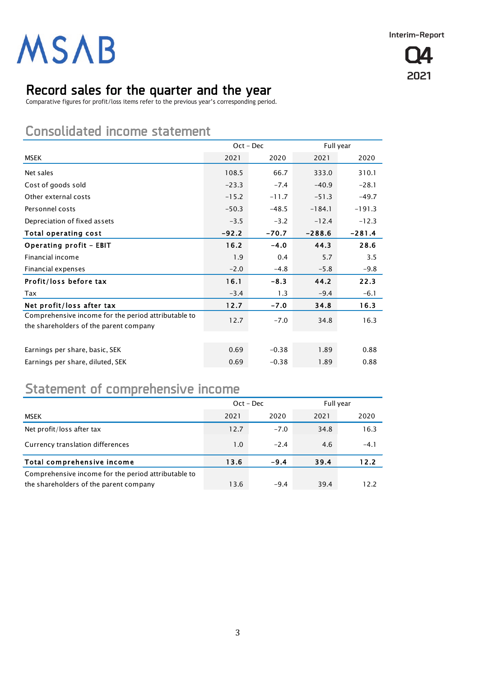

## **Record sales for the quarter and the year**

Comparative figures for profit/loss items refer to the previous year's corresponding period.

## **Consolidated income statement**

|                                                                                               |         | $Oct - Dec$ |          | Full year |
|-----------------------------------------------------------------------------------------------|---------|-------------|----------|-----------|
| MSEK                                                                                          | 2021    | 2020        | 2021     | 2020      |
| Net sales                                                                                     | 108.5   | 66.7        | 333.0    | 310.1     |
| Cost of goods sold                                                                            | $-23.3$ | $-7.4$      | $-40.9$  | $-28.1$   |
| Other external costs                                                                          | $-15.2$ | $-11.7$     | $-51.3$  | $-49.7$   |
| Personnel costs                                                                               | $-50.3$ | $-48.5$     | $-184.1$ | $-191.3$  |
| Depreciation of fixed assets                                                                  | $-3.5$  | $-3.2$      | $-12.4$  | $-12.3$   |
| Total operating cost                                                                          | $-92.2$ | $-70.7$     | $-288.6$ | $-281.4$  |
| <b>Operating profit - EBIT</b>                                                                | 16.2    | $-4.0$      | 44.3     | 28.6      |
| Financial income                                                                              | 1.9     | 0.4         | 5.7      | 3.5       |
| Financial expenses                                                                            | $-2.0$  | $-4.8$      | $-5.8$   | $-9.8$    |
| Profit/loss before tax                                                                        | 16.1    | $-8.3$      | 44.2     | 22.3      |
| Tax                                                                                           | $-3.4$  | 1.3         | $-9.4$   | $-6.1$    |
| Net profit/loss after tax                                                                     | 12.7    | $-7.0$      | 34.8     | 16.3      |
| Comprehensive income for the period attributable to<br>the shareholders of the parent company | 12.7    | $-7.0$      | 34.8     | 16.3      |
|                                                                                               |         |             |          |           |
| Earnings per share, basic, SEK                                                                | 0.69    | $-0.38$     | 1.89     | 0.88      |
| Earnings per share, diluted, SEK                                                              | 0.69    | $-0.38$     | 1.89     | 0.88      |

## **Statement of comprehensive income**

|                                                                                               | $Oct - Dec$ |        | Full year |        |
|-----------------------------------------------------------------------------------------------|-------------|--------|-----------|--------|
| <b>MSEK</b>                                                                                   | 2021        | 2020   | 2021      | 2020   |
| Net profit/loss after tax                                                                     | 12.7        | $-7.0$ | 34.8      | 16.3   |
| Currency translation differences                                                              | 1.0         | $-2.4$ | 4.6       | $-4.1$ |
| Total comprehensive income                                                                    | 13.6        | $-9.4$ | 39.4      | 12.2   |
| Comprehensive income for the period attributable to<br>the shareholders of the parent company | 13.6        | $-9.4$ | 39.4      | 12.2   |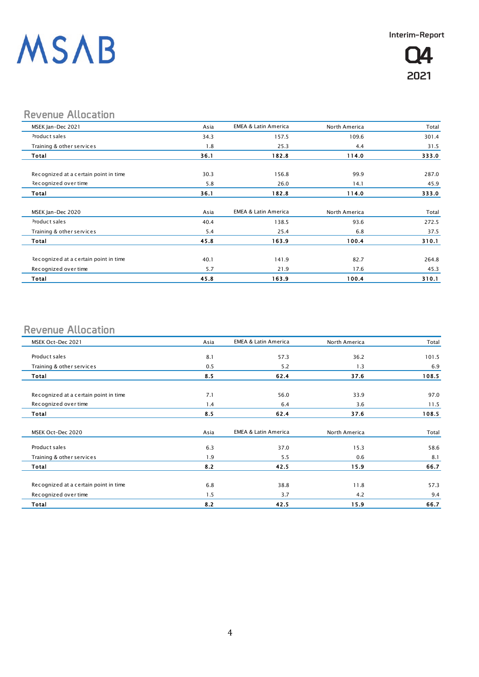

## **Revenue Allocation**

| MSEK Jan-Dec 2021                     | Asia | <b>EMEA &amp; Latin America</b> | North America | Total |
|---------------------------------------|------|---------------------------------|---------------|-------|
| Product sales                         | 34.3 | 157.5                           | 109.6         | 301.4 |
| Training & other services             | 1.8  | 25.3                            | 4.4           | 31.5  |
| Total                                 | 36.1 | 182.8                           | 114.0         | 333.0 |
|                                       |      |                                 |               |       |
| Recognized at a certain point in time | 30.3 | 156.8                           | 99.9          | 287.0 |
| Recognized over time                  | 5.8  | 26.0                            | 14.1          | 45.9  |
| Total                                 | 36.1 | 182.8                           | 114.0         | 333.0 |
| MSEK Jan-Dec 2020                     | Asia | <b>EMEA &amp; Latin America</b> | North America | Total |
| Product sales                         |      |                                 |               | 272.5 |
|                                       | 40.4 | 138.5                           | 93.6          |       |
| Training & other services             | 5.4  | 25.4                            | 6.8           | 37.5  |
| Total                                 | 45.8 | 163.9                           | 100.4         | 310.1 |
| Recognized at a certain point in time | 40.1 | 141.9                           | 82.7          | 264.8 |
| Recognized over time                  | 5.7  | 21.9                            | 17.6          | 45.3  |
| Total                                 | 45.8 | 163.9                           | 100.4         | 310.1 |

## **Revenue Allocation**

| MSEK Oct-Dec 2021                     | Asia | <b>EMEA &amp; Latin America</b> | North America | Total |
|---------------------------------------|------|---------------------------------|---------------|-------|
|                                       |      |                                 |               |       |
| Product sales                         | 8.1  | 57.3                            | 36.2          | 101.5 |
| Training & other services             | 0.5  | 5.2                             | 1.3           | 6.9   |
| Total                                 | 8.5  | 62.4                            | 37.6          | 108.5 |
|                                       |      |                                 |               |       |
| Recognized at a certain point in time | 7.1  | 56.0                            | 33.9          | 97.0  |
| Recognized over time                  | 1.4  | 6.4                             | 3.6           | 11.5  |
| Total                                 | 8.5  | 62.4                            | 37.6          | 108.5 |
| MSEK Oct-Dec 2020                     | Asia | <b>EMEA &amp; Latin America</b> | North America | Total |
| Product sales                         | 6.3  | 37.0                            | 15.3          | 58.6  |
| Training & other services             | 1.9  | 5.5                             | 0.6           | 8.1   |
| Total                                 | 8.2  | 42.5                            | 15.9          | 66.7  |
|                                       |      |                                 |               |       |
| Recognized at a certain point in time | 6.8  | 38.8                            | 11.8          | 57.3  |
| Recognized over time                  | 1.5  | 3.7                             | 4.2           | 9.4   |
| <b>Total</b>                          | 8.2  | 42.5                            | 15.9          | 66.7  |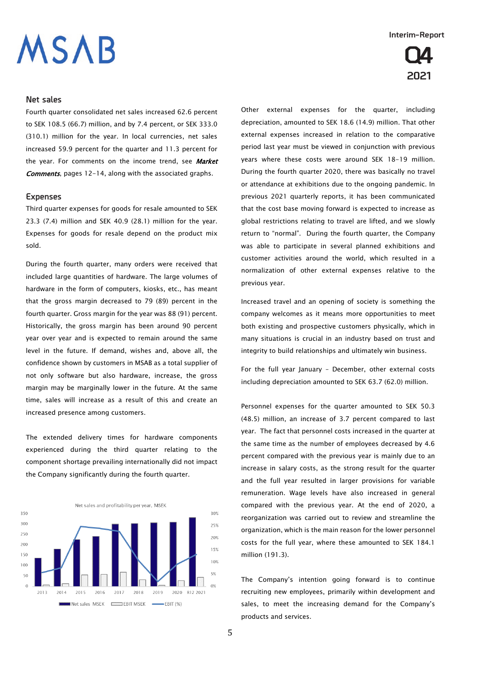# **ISAB**

### **Net sales**

Fourth quarter consolidated net sales increased 62.6 percent to SEK 108.5 (66.7) million, and by 7.4 percent, or SEK 333.0 (310.1) million for the year. In local currencies, net sales increased 59.9 percent for the quarter and 11.3 percent for the year. For comments on the income trend, see Market **Comments**, pages 12-14, along with the associated graphs.

### **Expenses**

Third quarter expenses for goods for resale amounted to SEK 23.3 (7.4) million and SEK 40.9 (28.1) million for the year. Expenses for goods for resale depend on the product mix sold.

During the fourth quarter, many orders were received that included large quantities of hardware. The large volumes of hardware in the form of computers, kiosks, etc., has meant that the gross margin decreased to 79 (89) percent in the fourth quarter. Gross margin for the year was 88 (91) percent. Historically, the gross margin has been around 90 percent year over year and is expected to remain around the same level in the future. If demand, wishes and, above all, the confidence shown by customers in MSAB as a total supplier of not only software but also hardware, increase, the gross margin may be marginally lower in the future. At the same time, sales will increase as a result of this and create an increased presence among customers.

The extended delivery times for hardware components experienced during the third quarter relating to the component shortage prevailing internationally did not impact the Company significantly during the fourth quarter.



**Interim-Report**



Other external expenses for the quarter, including depreciation, amounted to SEK 18.6 (14.9) million. That other external expenses increased in relation to the comparative period last year must be viewed in conjunction with previous years where these costs were around SEK 18-19 million. During the fourth quarter 2020, there was basically no travel or attendance at exhibitions due to the ongoing pandemic. In previous 2021 quarterly reports, it has been communicated that the cost base moving forward is expected to increase as global restrictions relating to travel are lifted, and we slowly return to "normal". During the fourth quarter, the Company was able to participate in several planned exhibitions and customer activities around the world, which resulted in a normalization of other external expenses relative to the previous year.

Increased travel and an opening of society is something the company welcomes as it means more opportunities to meet both existing and prospective customers physically, which in many situations is crucial in an industry based on trust and integrity to build relationships and ultimately win business.

For the full year January – December, other external costs including depreciation amounted to SEK 63.7 (62.0) million.

Personnel expenses for the quarter amounted to SEK 50.3 (48.5) million, an increase of 3.7 percent compared to last year. The fact that personnel costs increased in the quarter at the same time as the number of employees decreased by 4.6 percent compared with the previous year is mainly due to an increase in salary costs, as the strong result for the quarter and the full year resulted in larger provisions for variable remuneration. Wage levels have also increased in general compared with the previous year. At the end of 2020, a reorganization was carried out to review and streamline the organization, which is the main reason for the lower personnel costs for the full year, where these amounted to SEK 184.1 million (191.3).

The Company's intention going forward is to continue recruiting new employees, primarily within development and sales, to meet the increasing demand for the Company's products and services.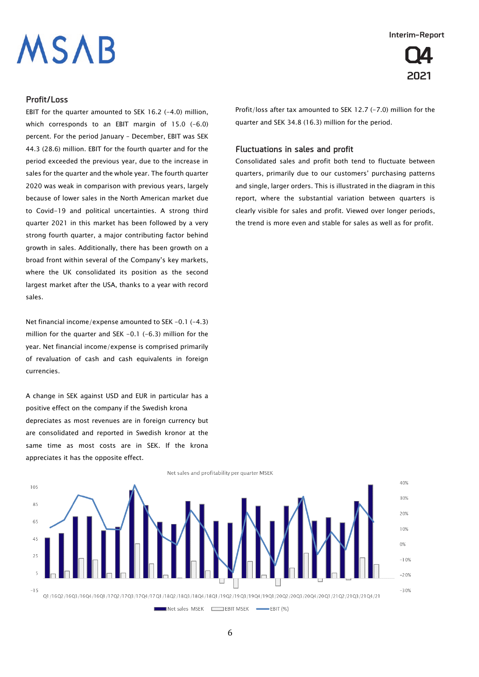# **ISAB**

#### **Interim-Report**



### **Profit/Loss**

EBIT for the quarter amounted to SEK 16.2 (-4.0) million, which corresponds to an EBIT margin of 15.0 (-6.0) percent. For the period January – December, EBIT was SEK 44.3 (28.6) million. EBIT for the fourth quarter and for the period exceeded the previous year, due to the increase in sales for the quarter and the whole year. The fourth quarter 2020 was weak in comparison with previous years, largely because of lower sales in the North American market due to Covid-19 and political uncertainties. A strong third quarter 2021 in this market has been followed by a very strong fourth quarter, a major contributing factor behind growth in sales. Additionally, there has been growth on a broad front within several of the Company's key markets, where the UK consolidated its position as the second largest market after the USA, thanks to a year with record sales.

Net financial income/expense amounted to SEK -0.1 (-4.3) million for the quarter and SEK -0.1 (-6.3) million for the year. Net financial income/expense is comprised primarily of revaluation of cash and cash equivalents in foreign currencies.

A change in SEK against USD and EUR in particular has a positive effect on the company if the Swedish krona depreciates as most revenues are in foreign currency but are consolidated and reported in Swedish kronor at the same time as most costs are in SEK. If the krona appreciates it has the opposite effect.

Profit/loss after tax amounted to SEK 12.7 (-7.0) million for the quarter and SEK 34.8 (16.3) million for the period.

### **Fluctuations in sales and profit**

Consolidated sales and profit both tend to fluctuate between quarters, primarily due to our customers' purchasing patterns and single, larger orders. This is illustrated in the diagram in this report, where the substantial variation between quarters is clearly visible for sales and profit. Viewed over longer periods, the trend is more even and stable for sales as well as for profit.

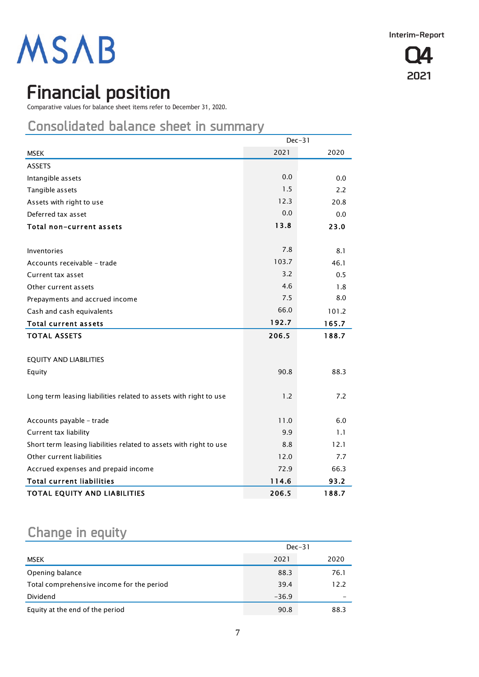

## **Financial position**

Comparative values for balance sheet items refer to December 31, 2020.

## **Consolidated balance sheet in summary**

|                                                                    | $Dec-31$ |       |  |
|--------------------------------------------------------------------|----------|-------|--|
| <b>MSEK</b>                                                        | 2021     | 2020  |  |
| <b>ASSETS</b>                                                      |          |       |  |
| Intangible assets                                                  | 0.0      | 0.0   |  |
| Tangible assets                                                    | 1.5      | 2.2   |  |
| Assets with right to use                                           | 12.3     | 20.8  |  |
| Deferred tax asset                                                 | 0.0      | 0.0   |  |
| Total non-current assets                                           | 13.8     | 23.0  |  |
|                                                                    |          |       |  |
| Inventories                                                        | 7.8      | 8.1   |  |
| Accounts receivable - trade                                        | 103.7    | 46.1  |  |
| Current tax asset                                                  | 3.2      | 0.5   |  |
| Other current assets                                               | 4.6      | 1.8   |  |
| Prepayments and accrued income                                     | 7.5      | 8.0   |  |
| Cash and cash equivalents                                          | 66.0     | 101.2 |  |
| <b>Total current assets</b>                                        | 192.7    | 165.7 |  |
| <b>TOTAL ASSETS</b>                                                | 206.5    | 188.7 |  |
|                                                                    |          |       |  |
| <b>EQUITY AND LIABILITIES</b>                                      |          |       |  |
| Equity                                                             | 90.8     | 88.3  |  |
|                                                                    |          |       |  |
| Long term leasing liabilities related to assets with right to use  | 1.2      | 7.2   |  |
|                                                                    |          |       |  |
| Accounts payable - trade                                           | 11.0     | 6.0   |  |
| Current tax liability                                              | 9.9      | 1.1   |  |
| Short term leasing liabilities related to assets with right to use | 8.8      | 12.1  |  |
| Other current liabilities                                          | 12.0     | 7.7   |  |
| Accrued expenses and prepaid income                                | 72.9     | 66.3  |  |
| <b>Total current liabilities</b>                                   | 114.6    | 93.2  |  |
| TOTAL EQUITY AND LIABILITIES                                       | 206.5    | 188.7 |  |

## **Change in equity**

|                                           | $Dec-31$ |      |  |
|-------------------------------------------|----------|------|--|
| MSEK                                      | 2021     | 2020 |  |
| Opening balance                           | 88.3     | 76.1 |  |
| Total comprehensive income for the period | 39.4     | 12.2 |  |
| Dividend                                  | $-36.9$  |      |  |
| Equity at the end of the period           | 90.8     | 88.3 |  |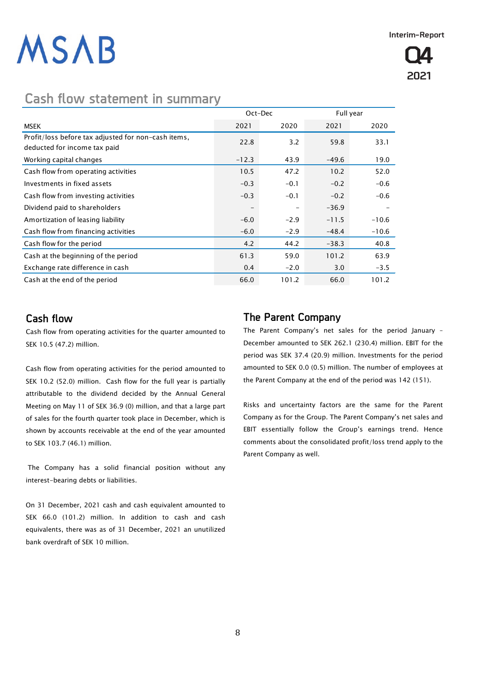## **Cash flow statement in summary**

|                                                                                     |         | Oct-Dec |         | Full year |  |
|-------------------------------------------------------------------------------------|---------|---------|---------|-----------|--|
| <b>MSEK</b>                                                                         | 2021    | 2020    | 2021    | 2020      |  |
| Profit/loss before tax adjusted for non-cash items,<br>deducted for income tax paid | 22.8    | 3.2     | 59.8    | 33.1      |  |
| Working capital changes                                                             | $-12.3$ | 43.9    | $-49.6$ | 19.0      |  |
| Cash flow from operating activities                                                 | 10.5    | 47.2    | 10.2    | 52.0      |  |
| Investments in fixed assets                                                         | $-0.3$  | $-0.1$  | $-0.2$  | $-0.6$    |  |
| Cash flow from investing activities                                                 | $-0.3$  | $-0.1$  | $-0.2$  | $-0.6$    |  |
| Dividend paid to shareholders                                                       |         |         | $-36.9$ |           |  |
| Amortization of leasing liability                                                   | $-6.0$  | $-2.9$  | $-11.5$ | $-10.6$   |  |
| Cash flow from financing activities                                                 | $-6.0$  | $-2.9$  | $-48.4$ | $-10.6$   |  |
| Cash flow for the period                                                            | 4.2     | 44.2    | $-38.3$ | 40.8      |  |
| Cash at the beginning of the period                                                 | 61.3    | 59.0    | 101.2   | 63.9      |  |
| Exchange rate difference in cash                                                    | 0.4     | $-2.0$  | 3.0     | $-3.5$    |  |
| Cash at the end of the period                                                       | 66.0    | 101.2   | 66.0    | 101.2     |  |

## **Cash flow**

Cash flow from operating activities for the quarter amounted to SEK 10.5 (47.2) million.

Cash flow from operating activities for the period amounted to SEK 10.2 (52.0) million. Cash flow for the full year is partially attributable to the dividend decided by the Annual General Meeting on May 11 of SEK 36.9 (0) million, and that a large part of sales for the fourth quarter took place in December, which is shown by accounts receivable at the end of the year amounted to SEK 103.7 (46.1) million.

The Company has a solid financial position without any interest-bearing debts or liabilities.

On 31 December, 2021 cash and cash equivalent amounted to SEK 66.0 (101.2) million. In addition to cash and cash equivalents, there was as of 31 December, 2021 an unutilized bank overdraft of SEK 10 million.

## **The Parent Company**

The Parent Company's net sales for the period January – December amounted to SEK 262.1 (230.4) million. EBIT for the period was SEK 37.4 (20.9) million. Investments for the period amounted to SEK 0.0 (0.5) million. The number of employees at the Parent Company at the end of the period was 142 (151).

Risks and uncertainty factors are the same for the Parent Company as for the Group. The Parent Company's net sales and EBIT essentially follow the Group's earnings trend. Hence comments about the consolidated profit/loss trend apply to the Parent Company as well.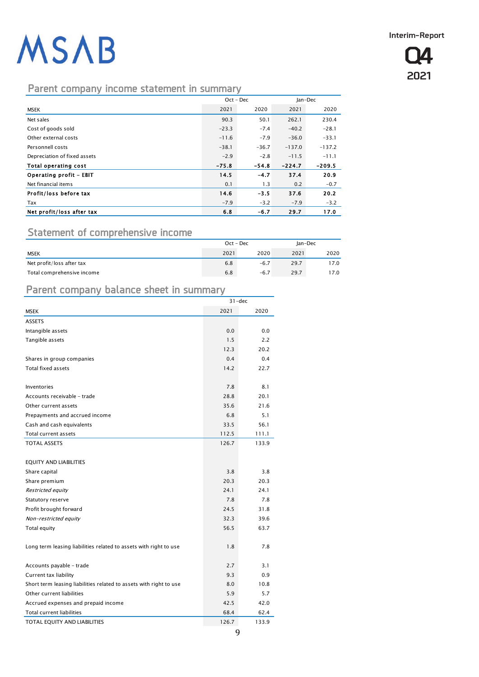**Q4 2021**

## **Parent company income statement in summary**

|                              | $Oct - Dec$ |         | Jan-Dec  |          |
|------------------------------|-------------|---------|----------|----------|
| MSEK                         | 2021        | 2020    | 2021     | 2020     |
| Net sales                    | 90.3        | 50.1    | 262.1    | 230.4    |
| Cost of goods sold           | $-23.3$     | $-7.4$  | $-40.2$  | $-28.1$  |
| Other external costs         | $-11.6$     | $-7.9$  | $-36.0$  | $-33.1$  |
| Personnell costs             | $-38.1$     | $-36.7$ | $-137.0$ | $-137.2$ |
| Depreciation of fixed assets | $-2.9$      | $-2.8$  | $-11.5$  | $-11.1$  |
| Total operating cost         | $-75.8$     | $-54.8$ | $-224.7$ | $-209.5$ |
| Operating profit - EBIT      | 14.5        | $-4.7$  | 37.4     | 20.9     |
| Net financial items          | 0.1         | 1.3     | 0.2      | $-0.7$   |
| Profit/loss before tax       | 14.6        | $-3.5$  | 37.6     | 20.2     |
| Tax                          | $-7.9$      | $-3.2$  | $-7.9$   | $-3.2$   |
| Net profit/loss after tax    | 6.8         | $-6.7$  | 29.7     | 17.0     |

## **Statement of comprehensive income**

|                            | $Oct - Dec$ |        | Jan-Dec |      |
|----------------------------|-------------|--------|---------|------|
| <b>MSEK</b>                | 2021        | 2020   | 2021    | 2020 |
| Net profit/loss after tax  | 6.8         | $-6.7$ | 29.7    | 17.0 |
| Total comprehensive income | 6.8         | $-6.7$ | 29.7    | 17.0 |

## **Parent company balance sheet in summary**

|                                                                    | $31 - dec$ |       |  |
|--------------------------------------------------------------------|------------|-------|--|
| <b>MSEK</b>                                                        | 2021       | 2020  |  |
| <b>ASSETS</b>                                                      |            |       |  |
| Intangible assets                                                  | 0.0        | 0.0   |  |
| Tangible assets                                                    | 1.5        | 2.2   |  |
|                                                                    | 12.3       | 20.2  |  |
| Shares in group companies                                          | 0.4        | 0.4   |  |
| <b>Total fixed assets</b>                                          | 14.2       | 22.7  |  |
|                                                                    |            |       |  |
| Inventories                                                        | 7.8        | 8.1   |  |
| Accounts receivable - trade                                        | 28.8       | 20.1  |  |
| Other current assets                                               | 35.6       | 21.6  |  |
| Prepayments and accrued income                                     | 6.8        | 5.1   |  |
| Cash and cash equivalents                                          | 33.5       | 56.1  |  |
| Total current assets                                               | 112.5      | 111.1 |  |
| <b>TOTAL ASSETS</b>                                                | 126.7      | 133.9 |  |
|                                                                    |            |       |  |
| <b>EQUITY AND LIABILITIES</b>                                      |            |       |  |
| Share capital                                                      | 3.8        | 3.8   |  |
| Share premium                                                      | 20.3       | 20.3  |  |
| Restricted equity                                                  | 24.1       | 24.1  |  |
| Statutory reserve                                                  | 7.8        | 7.8   |  |
| Profit brought forward                                             | 24.5       | 31.8  |  |
| Non-restricted equity                                              | 32.3       | 39.6  |  |
| Total equity                                                       | 56.5       | 63.7  |  |
|                                                                    |            |       |  |
| Long term leasing liabilities related to assets with right to use  | 1.8        | 7.8   |  |
|                                                                    |            |       |  |
| Accounts payable - trade                                           | 2.7        | 3.1   |  |
| Current tax liability                                              | 9.3        | 0.9   |  |
| Short term leasing liabilities related to assets with right to use | 8.0        | 10.8  |  |
| Other current liabilities                                          | 5.9        | 5.7   |  |
| Accrued expenses and prepaid income                                | 42.5       | 42.0  |  |
| Total current liabilities                                          | 68.4       | 62.4  |  |
| TOTAL EQUITY AND LIABILITIES                                       | 126.7      | 133.9 |  |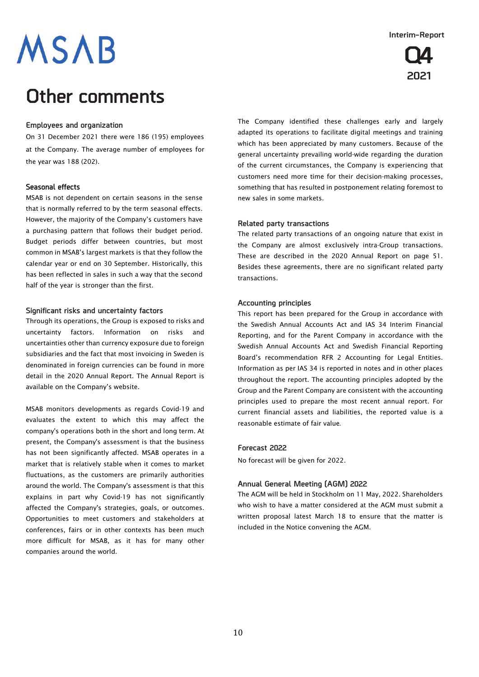## **Other comments**

### **Employees and organization**

On 31 December 2021 there were 186 (195) employees at the Company. The average number of employees for the year was 188 (202).

### **Seasonal effects**

MSAB is not dependent on certain seasons in the sense that is normally referred to by the term seasonal effects. However, the majority of the Company's customers have a purchasing pattern that follows their budget period. Budget periods differ between countries, but most common in MSAB's largest markets is that they follow the calendar year or end on 30 September. Historically, this has been reflected in sales in such a way that the second half of the year is stronger than the first.

### **Significant risks and uncertainty factors**

Through its operations, the Group is exposed to risks and uncertainty factors. Information on risks and uncertainties other than currency exposure due to foreign subsidiaries and the fact that most invoicing in Sweden is denominated in foreign currencies can be found in more detail in the 2020 Annual Report. The Annual Report is available on the Company's website.

MSAB monitors developments as regards Covid-19 and evaluates the extent to which this may affect the company's operations both in the short and long term. At present, the Company's assessment is that the business has not been significantly affected. MSAB operates in a market that is relatively stable when it comes to market fluctuations, as the customers are primarily authorities around the world. The Company's assessment is that this explains in part why Covid-19 has not significantly affected the Company's strategies, goals, or outcomes. Opportunities to meet customers and stakeholders at conferences, fairs or in other contexts has been much more difficult for MSAB, as it has for many other companies around the world.

The Company identified these challenges early and largely adapted its operations to facilitate digital meetings and training which has been appreciated by many customers. Because of the general uncertainty prevailing world-wide regarding the duration of the current circumstances, the Company is experiencing that customers need more time for their decision-making processes, something that has resulted in postponement relating foremost to new sales in some markets.

### **Related party transactions**

The related party transactions of an ongoing nature that exist in the Company are almost exclusively intra-Group transactions. These are described in the 2020 Annual Report on page 51. Besides these agreements, there are no significant related party transactions.

### **Accounting principles**

This report has been prepared for the Group in accordance with the Swedish Annual Accounts Act and IAS 34 Interim Financial Reporting, and for the Parent Company in accordance with the Swedish Annual Accounts Act and Swedish Financial Reporting Board's recommendation RFR 2 Accounting for Legal Entities. Information as per IAS 34 is reported in notes and in other places throughout the report. The accounting principles adopted by the Group and the Parent Company are consistent with the accounting principles used to prepare the most recent annual report. For current financial assets and liabilities, the reported value is a reasonable estimate of fair value.

#### **Forecast 2022**

No forecast will be given for 2022.

### **Annual General Meeting (AGM) 2022**

The AGM will be held in Stockholm on 11 May, 2022. Shareholders who wish to have a matter considered at the AGM must submit a written proposal latest March 18 to ensure that the matter is included in the Notice convening the AGM.

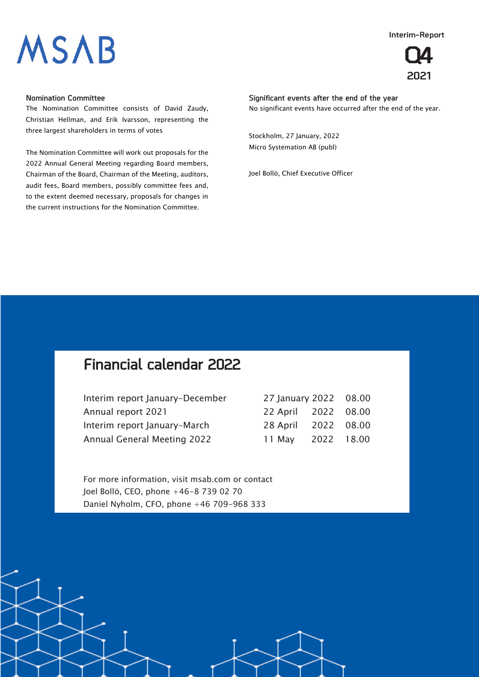**Interim-Report**



## **Q4 2021**

### **Nomination Committee**

The Nomination Committee consists of David Zaudy, Christian Hellman, and Erik Ivarsson, representing the three largest shareholders in terms of votes

The Nomination Committee will work out proposals for the 2022 Annual General Meeting regarding Board members, Chairman of the Board, Chairman of the Meeting, auditors, audit fees, Board members, possibly committee fees and, to the extent deemed necessary, proposals for changes in the current instructions for the Nomination Committee.

**Significant events after the end of the year** No significant events have occurred after the end of the year.

Stockholm, 27 January, 2022 Micro Systemation AB (publ)

Joel Bollö, Chief Executive Officer

## **Financial calendar 2022**

| Interim report January-December    | 27 January 2022 08.00 |  |
|------------------------------------|-----------------------|--|
| Annual report 2021                 | 22 April 2022 08.00   |  |
| Interim report January-March       | 28 April 2022 08.00   |  |
| <b>Annual General Meeting 2022</b> | 11 May 2022 18.00     |  |

For more information, visit msab.com or contact Joel Bollö, CEO, phone +46-8 739 02 70 Daniel Nyholm, CFO, phone +46 709-968 333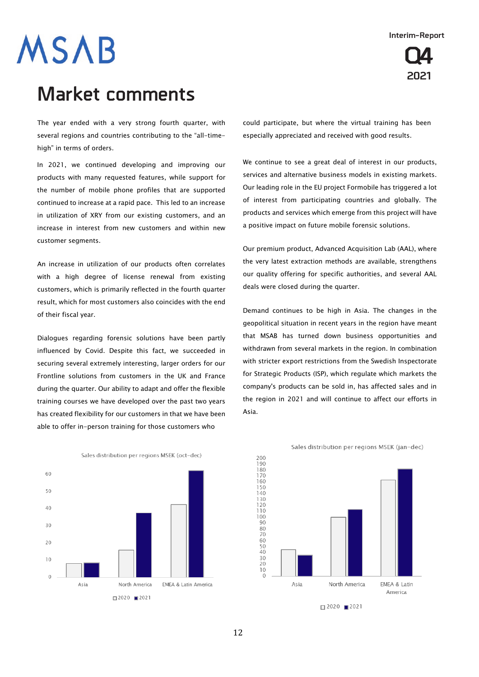## **Q4 2021**

# **MSAB**

## **Market comments**

The year ended with a very strong fourth quarter, with several regions and countries contributing to the "all-timehigh" in terms of orders.

In 2021, we continued developing and improving our products with many requested features, while support for the number of mobile phone profiles that are supported continued to increase at a rapid pace. This led to an increase in utilization of XRY from our existing customers, and an increase in interest from new customers and within new customer segments.

An increase in utilization of our products often correlates with a high degree of license renewal from existing customers, which is primarily reflected in the fourth quarter result, which for most customers also coincides with the end of their fiscal year.

Dialogues regarding forensic solutions have been partly influenced by Covid. Despite this fact, we succeeded in securing several extremely interesting, larger orders for our Frontline solutions from customers in the UK and France during the quarter. Our ability to adapt and offer the flexible training courses we have developed over the past two years has created flexibility for our customers in that we have been able to offer in-person training for those customers who

could participate, but where the virtual training has been especially appreciated and received with good results.

We continue to see a great deal of interest in our products, services and alternative business models in existing markets. Our leading role in the EU project Formobile has triggered a lot of interest from participating countries and globally. The products and services which emerge from this project will have a positive impact on future mobile forensic solutions.

Our premium product, Advanced Acquisition Lab (AAL), where the very latest extraction methods are available, strengthens our quality offering for specific authorities, and several AAL deals were closed during the quarter.

Demand continues to be high in Asia. The changes in the geopolitical situation in recent years in the region have meant that MSAB has turned down business opportunities and withdrawn from several markets in the region. In combination with stricter export restrictions from the Swedish Inspectorate for Strategic Products (ISP), which regulate which markets the company's products can be sold in, has affected sales and in the region in 2021 and will continue to affect our efforts in Asia.



Sales distribution per regions MSEK (oct-dec)

Sales distribution per regions MSEK (jan-dec)

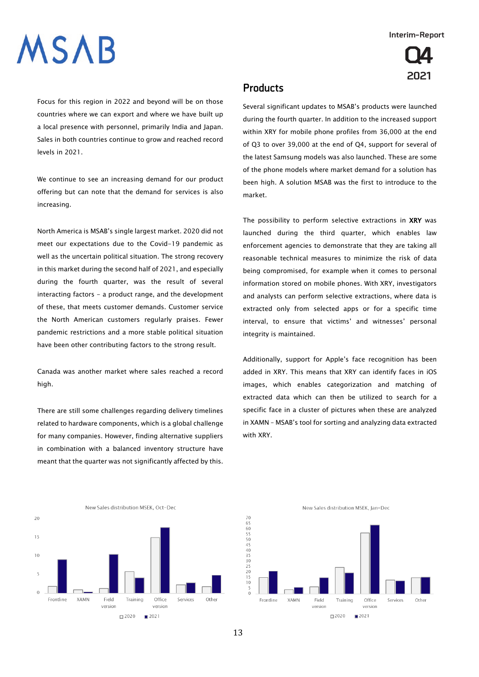# **SAB**

**Q4 2021**

Focus for this region in 2022 and beyond will be on those countries where we can export and where we have built up a local presence with personnel, primarily India and Japan. Sales in both countries continue to grow and reached record levels in 2021.

We continue to see an increasing demand for our product offering but can note that the demand for services is also increasing.

North America is MSAB's single largest market. 2020 did not meet our expectations due to the Covid-19 pandemic as well as the uncertain political situation. The strong recovery in this market during the second half of 2021, and especially during the fourth quarter, was the result of several interacting factors - a product range, and the development of these, that meets customer demands. Customer service the North American customers regularly praises. Fewer pandemic restrictions and a more stable political situation have been other contributing factors to the strong result.

Canada was another market where sales reached a record high.

There are still some challenges regarding delivery timelines related to hardware components, which is a global challenge for many companies. However, finding alternative suppliers in combination with a balanced inventory structure have meant that the quarter was not significantly affected by this.

### **Products**

Several significant updates to MSAB's products were launched during the fourth quarter. In addition to the increased support within XRY for mobile phone profiles from 36,000 at the end of Q3 to over 39,000 at the end of Q4, support for several of the latest Samsung models was also launched. These are some of the phone models where market demand for a solution has been high. A solution MSAB was the first to introduce to the market.

The possibility to perform selective extractions in XRY was launched during the third quarter, which enables law enforcement agencies to demonstrate that they are taking all reasonable technical measures to minimize the risk of data being compromised, for example when it comes to personal information stored on mobile phones. With XRY, investigators and analysts can perform selective extractions, where data is extracted only from selected apps or for a specific time interval, to ensure that victims' and witnesses' personal integrity is maintained.

Additionally, support for Apple's face recognition has been added in XRY. This means that XRY can identify faces in iOS images, which enables categorization and matching of extracted data which can then be utilized to search for a specific face in a cluster of pictures when these are analyzed in XAMN – MSAB's tool for sorting and analyzing data extracted with XRY.



New Sales distribution MSEK, Jan-Dec

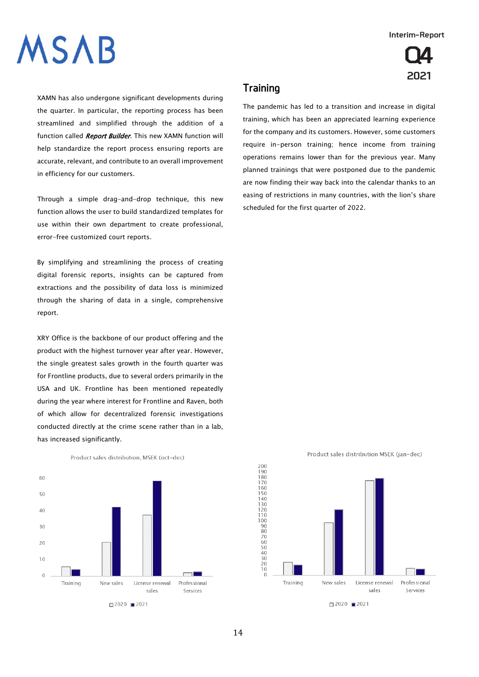**Q4**

**2021**

# **ASAB**

XAMN has also undergone significant developments during the quarter. In particular, the reporting process has been streamlined and simplified through the addition of a function called Report Builder. This new XAMN function will help standardize the report process ensuring reports are accurate, relevant, and contribute to an overall improvement in efficiency for our customers.

Through a simple drag-and-drop technique, this new function allows the user to build standardized templates for use within their own department to create professional, error-free customized court reports.

By simplifying and streamlining the process of creating digital forensic reports, insights can be captured from extractions and the possibility of data loss is minimized through the sharing of data in a single, comprehensive report.

XRY Office is the backbone of our product offering and the product with the highest turnover year after year. However, the single greatest sales growth in the fourth quarter was for Frontline products, due to several orders primarily in the USA and UK. Frontline has been mentioned repeatedly during the year where interest for Frontline and Raven, both of which allow for decentralized forensic investigations conducted directly at the crime scene rather than in a lab, has increased significantly.



Product sales distribution, MSEK (oct-dec)

### **Training**

The pandemic has led to a transition and increase in digital training, which has been an appreciated learning experience for the company and its customers. However, some customers require in-person training; hence income from training operations remains lower than for the previous year. Many planned trainings that were postponed due to the pandemic are now finding their way back into the calendar thanks to an easing of restrictions in many countries, with the lion's share scheduled for the first quarter of 2022.



Product sales distribution MSEK (jan-dec)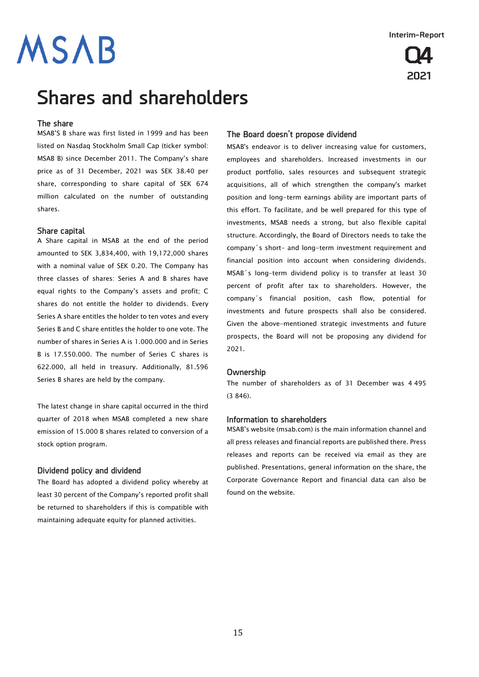

## **Shares and shareholders**

#### **The share**

MSAB'S B share was first listed in 1999 and has been listed on Nasdaq Stockholm Small Cap (ticker symbol: MSAB B) since December 2011. The Company's share price as of 31 December, 2021 was SEK 38.40 per share, corresponding to share capital of SEK 674 million calculated on the number of outstanding shares.

### **Share capital**

A Share capital in MSAB at the end of the period amounted to SEK 3,834,400, with 19,172,000 shares with a nominal value of SEK 0.20. The Company has three classes of shares: Series A and B shares have equal rights to the Company's assets and profit; C shares do not entitle the holder to dividends. Every Series A share entitles the holder to ten votes and every Series B and C share entitles the holder to one vote. The number of shares in Series A is 1.000.000 and in Series B is 17.550.000. The number of Series C shares is 622.000, all held in treasury. Additionally, 81.596 Series B shares are held by the company.

The latest change in share capital occurred in the third quarter of 2018 when MSAB completed a new share emission of 15.000 B shares related to conversion of a stock option program.

#### **Dividend policy and dividend**

The Board has adopted a dividend policy whereby at least 30 percent of the Company's reported profit shall be returned to shareholders if this is compatible with maintaining adequate equity for planned activities.

### **The Board doesn't propose dividend**

MSAB's endeavor is to deliver increasing value for customers, employees and shareholders. Increased investments in our product portfolio, sales resources and subsequent strategic acquisitions, all of which strengthen the company's market position and long-term earnings ability are important parts of this effort. To facilitate, and be well prepared for this type of investments, MSAB needs a strong, but also flexible capital structure. Accordingly, the Board of Directors needs to take the company´s short- and long-term investment requirement and financial position into account when considering dividends. MSAB´s long-term dividend policy is to transfer at least 30 percent of profit after tax to shareholders. However, the company´s financial position, cash flow, potential for investments and future prospects shall also be considered. Given the above-mentioned strategic investments and future prospects, the Board will not be proposing any dividend for 2021.

#### **Ownership**

The number of shareholders as of 31 December was 4 495 (3 846).

#### **Information to shareholders**

MSAB's website (msab.com) is the main information channel and all press releases and financial reports are published there. Press releases and reports can be received via email as they are published. Presentations, general information on the share, the Corporate Governance Report and financial data can also be found on the website.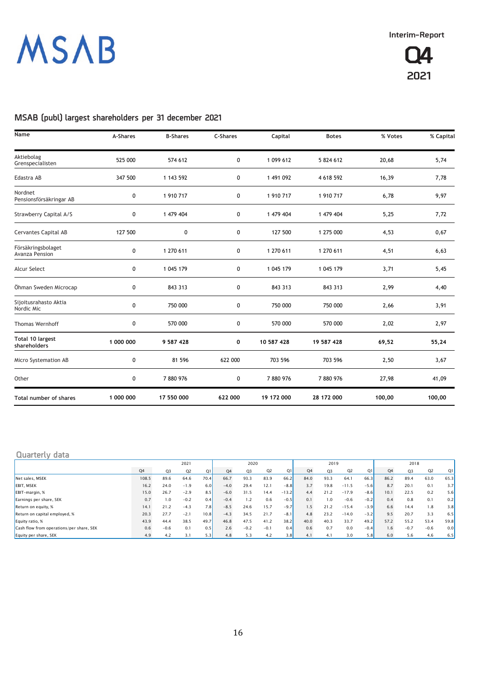

## **MSAB (publ) largest shareholders per 31 december 2021**

| Name                                 | A-Shares  | <b>B-Shares</b> | <b>C-Shares</b> | Capital    | <b>Botes</b> | % Votes | % Capital |
|--------------------------------------|-----------|-----------------|-----------------|------------|--------------|---------|-----------|
| Aktiebolag<br>Grenspecialisten       | 525 000   | 574 612         | 0               | 1 099 612  | 5 824 612    | 20,68   | 5,74      |
| Edastra AB                           | 347 500   | 1 143 592       | 0               | 1 491 092  | 4 618 592    | 16,39   | 7,78      |
| Nordnet<br>Pensionsförsäkringar AB   | 0         | 1 910 717       | 0               | 1 910 717  | 1 910 717    | 6,78    | 9,97      |
| Strawberry Capital A/S               | 0         | 1 479 404       | 0               | 1 479 404  | 1 479 404    | 5,25    | 7,72      |
| Cervantes Capital AB                 | 127 500   | 0               | 0               | 127 500    | 1 275 000    | 4,53    | 0,67      |
| Försäkringsbolaget<br>Avanza Pension | 0         | 1 270 611       | 0               | 1 270 611  | 1 270 611    | 4,51    | 6,63      |
| Alcur Select                         | 0         | 1 045 179       | 0               | 1 045 179  | 1 045 179    | 3,71    | 5,45      |
| Öhman Sweden Microcap                | 0         | 843 313         | 0               | 843 313    | 843 313      | 2,99    | 4,40      |
| Sijoitusrahasto Aktia<br>Nordic Mic  | 0         | 750 000         | 0               | 750 000    | 750 000      | 2,66    | 3,91      |
| <b>Thomas Wernhoff</b>               | 0         | 570 000         | 0               | 570 000    | 570 000      | 2,02    | 2,97      |
| Total 10 largest<br>shareholders     | 1 000 000 | 9 587 428       | 0               | 10 587 428 | 19 587 428   | 69,52   | 55,24     |
| Micro Systemation AB                 | 0         | 81 596          | 622 000         | 703 596    | 703 596      | 2,50    | 3,67      |
| Other                                | 0         | 7880976         | 0               | 7880976    | 7880976      | 27,98   | 41,09     |
| Total number of shares               | 1 000 000 | 17 550 000      | 622 000         | 19 172 000 | 28 172 000   | 100,00  | 100,00    |

### **Quarterly data**

|                                          | 2021           |        |                |                |                | 2020           |                |         |      | 2019           |                |        | 2018 |                |                |      |
|------------------------------------------|----------------|--------|----------------|----------------|----------------|----------------|----------------|---------|------|----------------|----------------|--------|------|----------------|----------------|------|
|                                          | Q <sub>4</sub> | Q3     | O <sub>2</sub> | O <sub>1</sub> | Q <sub>4</sub> | O <sub>3</sub> | Q <sub>2</sub> | Q1      | Q4   | O <sub>3</sub> | Q <sub>2</sub> | Q1     | Q4   | O <sub>3</sub> | Q <sub>2</sub> | Q1   |
| Net sales, MSEK                          | 108.5          | 89.6   | 64.6           | 70.4           | 66.7           | 93.3           | 83.9           | 66.2    | 84.0 | 93.3           | 64.1           | 66.3   | 86.2 | 89.4           | 63.0           | 65.3 |
| <b>EBIT. MSEK</b>                        | 16.2           | 24.0   | $-1.9$         | 6.0            | $-4.0$         | 29.4           | 12.1           | $-8.8$  | 3.7  | 19.8           | $-11.5$        | $-5.6$ | 8.7  | 20.1           | 0.1            | 3.7  |
| EBIT-margin, %                           | 15.0           | 26.7   | $-2.9$         | 8.5            | $-6.0$         | 31.5           | 14.4           | $-13.2$ | 4.4  | 21.2           | $-17.9$        | $-8.6$ | 10.1 | 22.5           | 0.2            | 5.6  |
| Earnings per share, SEK                  | 0.7            | 1.0    | $-0.2$         | 0.4            | $-0.4$         | 1.2            | 0.6            | $-0.5$  | 0.1  | 1.0            | $-0.6$         | $-0.2$ | 0.4  | 0.8            | 0.1            | 0.2  |
| Return on equity, %                      | 14.1           | 21.2   | $-4.3$         | 7.8            | $-8.5$         | 24.6           | 15.7           | $-9.7$  | 1.5  | 21.2           | $-15.4$        | $-3.9$ | 6.6  | 14.4           | 1.8            | 3.8  |
| Return on capital employed, %            | 20.3           | 27.7   | $-2.1$         | 10.8           | $-4.3$         | 34.5           | 21.7           | $-8.1$  | 4.8  | 23.2           | $-14.0$        | $-3.2$ | 9.5  | 20.7           | 3.3            | 6.5  |
| Equity ratio, %                          | 43.9           | 44.4   | 38.5           | 49.7           | 46.8           | 47.5           | 41.2           | 38.2    | 40.0 | 40.3           | 33.7           | 49.2   | 57.2 | 55.2           | 53.4           | 59.8 |
| Cash flow from operations/per share, SEK | 0.6            | $-0.6$ | 0.1            | 0.5            | 2.6            | $-0.2$         | $-0.1$         | 0.4     | 0.6  | 0.7            | 0.0            | $-0.4$ | 1.6  | $-0.7$         | $-0.6$         | 0.0  |
| Equity per share, SEK                    | 4.9            | 4.2    | 3.1            | 5.3            | 4.8            | 5.3            | 4.2            | 3.8     | 4.1  | 4.1            | 3.0            | 5.8    | 6.0  | 5.6            | 4.6            | 6.5  |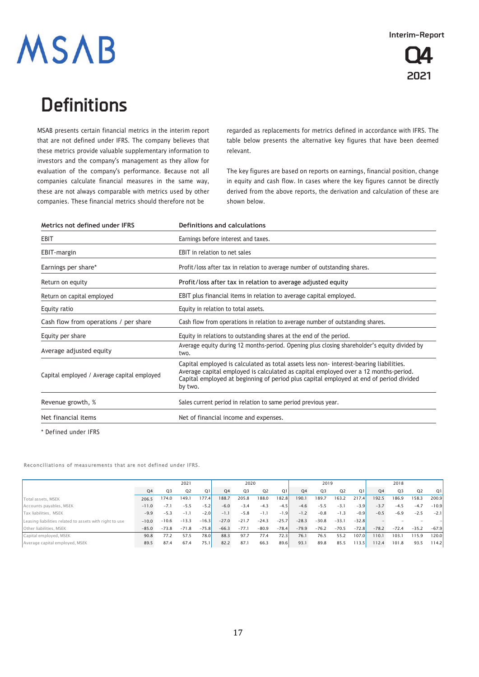

# **Definitions**

MSAB presents certain financial metrics in the interim report that are not defined under IFRS. The company believes that these metrics provide valuable supplementary information to investors and the company's management as they allow for evaluation of the company's performance. Because not all companies calculate financial measures in the same way, these are not always comparable with metrics used by other companies. These financial metrics should therefore not be

regarded as replacements for metrics defined in accordance with IFRS. The table below presents the alternative key figures that have been deemed relevant.

The key figures are based on reports on earnings, financial position, change in equity and cash flow. In cases where the key figures cannot be directly derived from the above reports, the derivation and calculation of these are shown below.

| Metrics not defined under IFRS              | Definitions and calculations                                                                                                                                                                                                                                                      |  |  |  |  |  |  |  |  |
|---------------------------------------------|-----------------------------------------------------------------------------------------------------------------------------------------------------------------------------------------------------------------------------------------------------------------------------------|--|--|--|--|--|--|--|--|
| EBIT                                        | Earnings before interest and taxes.                                                                                                                                                                                                                                               |  |  |  |  |  |  |  |  |
| EBIT-margin                                 | <b>EBIT</b> in relation to net sales                                                                                                                                                                                                                                              |  |  |  |  |  |  |  |  |
| Earnings per share*                         | Profit/loss after tax in relation to average number of outstanding shares.                                                                                                                                                                                                        |  |  |  |  |  |  |  |  |
| Return on equity                            | Profit/loss after tax in relation to average adjusted equity                                                                                                                                                                                                                      |  |  |  |  |  |  |  |  |
| Return on capital employed                  | EBIT plus financial items in relation to average capital employed.                                                                                                                                                                                                                |  |  |  |  |  |  |  |  |
| Equity ratio                                | Equity in relation to total assets.                                                                                                                                                                                                                                               |  |  |  |  |  |  |  |  |
| Cash flow from operations / per share       | Cash flow from operations in relation to average number of outstanding shares.                                                                                                                                                                                                    |  |  |  |  |  |  |  |  |
| Equity per share                            | Equity in relations to outstanding shares at the end of the period.                                                                                                                                                                                                               |  |  |  |  |  |  |  |  |
| Average adjusted equity                     | Average equity during 12 months-period. Opening plus closing shareholder's equity divided by<br>two.                                                                                                                                                                              |  |  |  |  |  |  |  |  |
| Capital employed / Average capital employed | Capital employed is calculated as total assets less non-interest-bearing liabilities.<br>Average capital employed is calculated as capital employed over a 12 months-period.<br>Capital employed at beginning of period plus capital employed at end of period divided<br>by two. |  |  |  |  |  |  |  |  |
| Revenue growth, %                           | Sales current period in relation to same period previous year.                                                                                                                                                                                                                    |  |  |  |  |  |  |  |  |
| Net financial items                         | Net of financial income and expenses.                                                                                                                                                                                                                                             |  |  |  |  |  |  |  |  |

\* Defined under IFRS

Reconciliations of measurements that are not defined under IFRS.

|                                                         | 2021           |         |                |                | 2020           |         |         |         | 2019    |                |                |         | 2018    |                |                |         |
|---------------------------------------------------------|----------------|---------|----------------|----------------|----------------|---------|---------|---------|---------|----------------|----------------|---------|---------|----------------|----------------|---------|
|                                                         | Q <sub>4</sub> | Q3      | O <sub>2</sub> | O <sub>1</sub> | Q <sub>4</sub> | Q3      | 02      | Q1      | Q4      | O <sub>3</sub> | Q <sub>2</sub> | Q1      | Q4      | O <sub>3</sub> | Q <sub>2</sub> | O1      |
| Total assets, MSEK                                      | 206.5          | 174.0   | 149.1          | 177.4          | 188.7          | 205.8   | 88.0    | 182.8   | 190.1   | 189.7          | 163.2          | 217.4   | 192.5   | 186.9          | 158.3          | 200.9   |
| Accounts payables, MSEK                                 | $-11.0$        | $-7.1$  | $-5.5$         | $-5.2$         | $-6.0$         | $-3.4$  | $-4.3$  | $-4.5$  | $-4.6$  | $-5.5$         | $-3.1$         | $-3.9$  | $-3.7$  | $-4.5$         | $-4.7$         | $-10.9$ |
| Tax liabilities, MSEK                                   | $-9.9$         | $-5.3$  | $-1.1$         | $-2.0$         | $-1.1$         | $-5.8$  | $-1.1$  | $-1.9$  | $-1.2$  | $-0.8$         | $-1.3$         | $-0.9$  | $-0.5$  | $-6.9$         | $-2.5$         | $-2.1$  |
| Leasing liabilities related to assets with right to use | $-10.0$        | $-10.6$ | $-13.3$        | $-16.3$        | $-27.0$        | $-21.7$ | $-24.3$ | $-25.7$ | $-28.3$ | $-30.8$        | $-33.1$        | $-32.8$ |         |                |                |         |
| Other liabilities, MSEK                                 | $-85.0$        | $-73.8$ | $-71.8$        | $-75.8$        | $-66.3$        | $-77.1$ | $-80.9$ | $-78.4$ | $-79.9$ | $-76.2$        | $-70.5$        | $-72.8$ | $-78.2$ | $-72.4$        | $-35.2$        | $-67.9$ |
| Capital employed, MSEK                                  | 90.8           | 77.2    | 57.5           | 78.0           | 88.3           | 97.7    | 77.4    | 72.3    | 76.1    | 76.5           | 55.2           | 107.0   | 110.1   | 103.1          | 115.9          | 120.0   |
| Average capital employed, MSEK                          | 89.5           | 87.4    | 67.4           | 75.1           | 82.2           | 87.1    | 66.3    | 89.6    | 93.1    | 89.8           | 85.5           | 13.5    | 112.4   | 101.8          | 93.5           | 114.2   |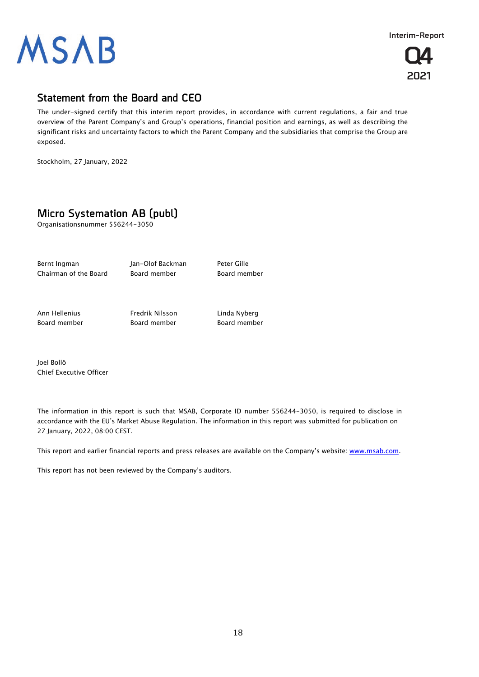



## **Statement from the Board and CEO**

The under-signed certify that this interim report provides, in accordance with current regulations, a fair and true overview of the Parent Company's and Group's operations, financial position and earnings, as well as describing the significant risks and uncertainty factors to which the Parent Company and the subsidiaries that comprise the Group are exposed.

Stockholm, 27 January, 2022

## **Micro Systemation AB (publ)**

Organisationsnummer 556244-3050

Bernt Ingman Man-Olof Backman Peter Gille Chairman of the Board board member board member

Ann Hellenius Fredrik Nilsson Linda Nyberg Board member Board member Board member

Joel Bollö Chief Executive Officer

The information in this report is such that MSAB, Corporate ID number 556244-3050, is required to disclose in accordance with the EU's Market Abuse Regulation. The information in this report was submitted for publication on 27 January, 2022, 08:00 CEST.

This report and earlier financial reports and press releases are available on the Company's website[: www.msab.com.](http://www.msab.com/)

This report has not been reviewed by the Company's auditors.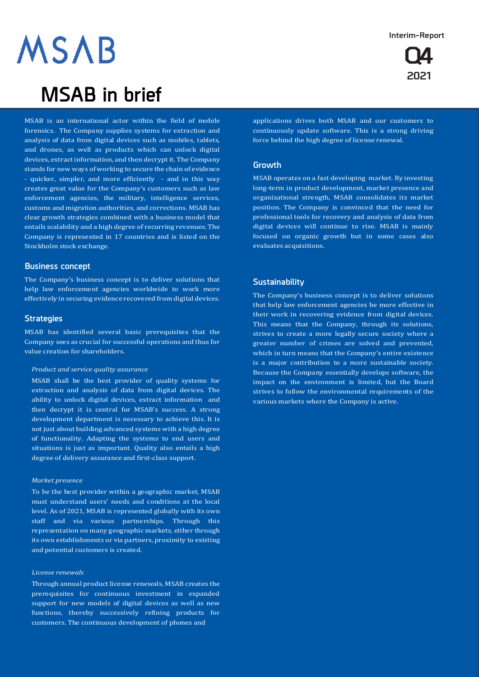## **Q4 2021**

# **MSAB**

## **MSAB in brief**

MSAB is an international actor within the field of mobile forensics. The Company supplies systems for extraction and analysis of data from digital devices such as mobiles, tablets, and drones, as well as products which can unlock digital devices, extract information, and then decrypt it. The Company stands for new ways of working to secure the chain of evidence - quicker, simpler, and more efficiently - and in this way creates great value for the Company's customers such as law enforcement agencies, the military, intelligence services, customs and migration authorities, and corrections. MSAB has clear growth strategies combined with a business model that entails scalability and a high degree of recurring revenues. The Company is represented in 17 countries and is listed on the Stockholm stock exchange.

### **Business concept**

The Company's business concept is to deliver solutions that help law enforcement agencies worldwide to work more effectively in securing evidence recovered from digital devices.

### **Strategies**

MSAB has identified several basic prerequisites that the Company sees as crucial for successful operations and thus for value creation for shareholders.

#### *Product and service quality assurance*

MSAB shall be the best provider of quality systems for extraction and analysis of data from digital devices. The ability to unlock digital devices, extract information and then decrypt it is central for MSAB's success. A strong development department is necessary to achieve this. It is not just about building advanced systems with a high degree of functionality. Adapting the systems to end users and situations is just as important. Quality also entails a high degree of delivery assurance and first-class support.

#### *Market presence*

To be the best provider within a geographic market, MSAB must understand users' needs and conditions at the local level. As of 2021, MSAB is represented globally with its own staff and via various partnerships. Through this representation on many geographic markets, either through its own establishments or via partners, proximity to existing and potential customers is created.

#### *License renewals*

Through annual product license renewals, MSAB creates the prerequisites for continuous investment in expanded support for new models of digital devices as well as new functions, thereby successively refining products for customers. The continuous development of phones and

applications drives both MSAB and our customers to continuously update software. This is a strong driving force behind the high degree of license renewal.

### **Growth**

MSAB operates on a fast developing market. By investing long-term in product development, market presence and organizational strength, MSAB consolidates its market position. The Company is convinced that the need for professional tools for recovery and analysis of data from digital devices will continue to rise. MSAB is mainly focused on organic growth but in some cases also evaluates acquisitions.

### **Sustainability**

The Company's business concept is to deliver solutions that help law enforcement agencies be more effective in their work in recovering evidence from digital devices. This means that the Company, through its solutions, strives to create a more legally secure society where a greater number of crimes are solved and prevented, which in turn means that the Company's entire existence is a major contribution to a more sustainable society. Because the Company essentially develops software, the impact on the environment is limited, but the Board strives to follow the environmental requirements of the various markets where the Company is active.